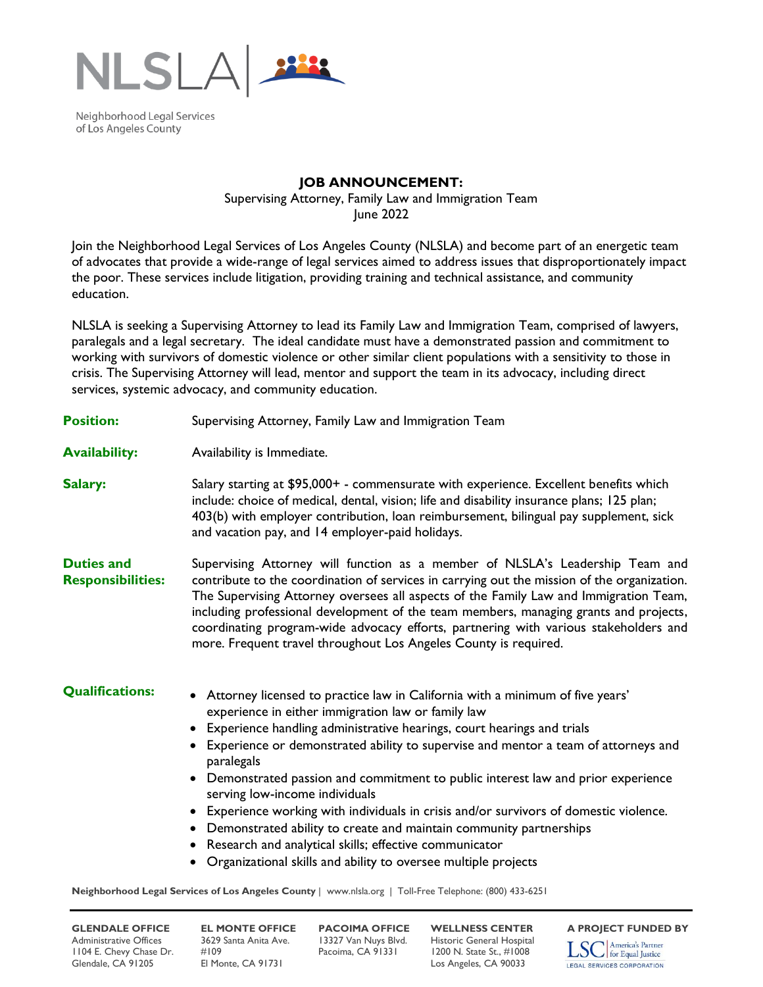

Neighborhood Legal Services of Los Angeles County

## **JOB ANNOUNCEMENT:**

Supervising Attorney, Family Law and Immigration Team June 2022

Join the Neighborhood Legal Services of Los Angeles County (NLSLA) and become part of an energetic team of advocates that provide a wide-range of legal services aimed to address issues that disproportionately impact the poor. These services include litigation, providing training and technical assistance, and community education.

NLSLA is seeking a Supervising Attorney to lead its Family Law and Immigration Team, comprised of lawyers, paralegals and a legal secretary. The ideal candidate must have a demonstrated passion and commitment to working with survivors of domestic violence or other similar client populations with a sensitivity to those in crisis. The Supervising Attorney will lead, mentor and support the team in its advocacy, including direct services, systemic advocacy, and community education.

**Position:** Supervising Attorney, Family Law and Immigration Team

**Availability:** Availability is Immediate.

- **Salary:** Salary starting at \$95,000+ commensurate with experience. Excellent benefits which include: choice of medical, dental, vision; life and disability insurance plans; 125 plan; 403(b) with employer contribution, loan reimbursement, bilingual pay supplement, sick and vacation pay, and 14 employer-paid holidays.
- **Duties and Responsibilities:**  Supervising Attorney will function as a member of NLSLA's Leadership Team and contribute to the coordination of services in carrying out the mission of the organization. The Supervising Attorney oversees all aspects of the Family Law and Immigration Team, including professional development of the team members, managing grants and projects, coordinating program-wide advocacy efforts, partnering with various stakeholders and more. Frequent travel throughout Los Angeles County is required.

- **Qualifications:** Attorney licensed to practice law in California with a minimum of five years' experience in either immigration law or family law
	- Experience handling administrative hearings, court hearings and trials
	- Experience or demonstrated ability to supervise and mentor a team of attorneys and paralegals
	- Demonstrated passion and commitment to public interest law and prior experience serving low-income individuals
	- Experience working with individuals in crisis and/or survivors of domestic violence.
	- Demonstrated ability to create and maintain community partnerships
	- Research and analytical skills; effective communicator
	- Organizational skills and ability to oversee multiple projects

**Neighborhood Legal Services of Los Angeles County** | www.nlsla.org | Toll-Free Telephone: (800) 433-6251

Administrative Offices 3629 Santa Anita Ave. 13327 Van Nuys Blvd. Historic General Hospital<br>1104 E. Chevy Chase Dr. #109 Pacoima, CA 91331 1200 N. State St., #1008 1104 E. Chevy Chase Dr. #109 Pacoima, CA 91331 1200 N. State St., #1008 Glendale, CA 91205 El Monte, CA 91731 Los Angeles, CA 90033

**GLENDALE OFFICE EL MONTE OFFICE PACOIMA OFFICE WELLNESS CENTER** A PROJECT FUNDED BY<br>Administrative Offices 3629 Santa Anita Ave. 13327 Van Nuys Blvd. Historic General Hospital **Terra America's Partner**